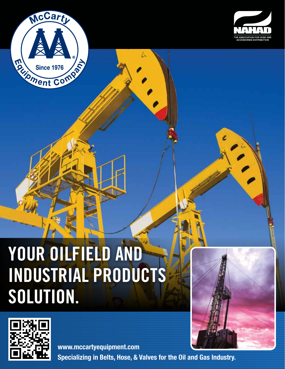



## **YOUR OILFIELD AND INDUSTRIAL PRODUCTS SOLUTION.**



**Specializing in Belts, Hose, & Valves for the Oil and Gas Industry. www.mccartyequipment.com**

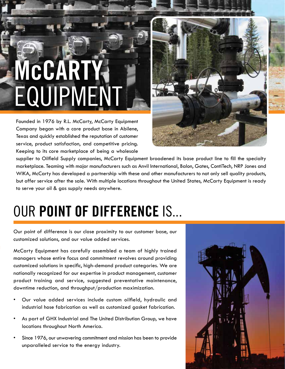# **McCART** EQUIPMEN

Founded in 1976 by R.L. McCarty, McCarty Equipment Company began with a core product base in Abilene, Texas and quickly established the reputation of customer service, product satisfaction, and competitive pricing. Keeping to its core marketplace of being a wholesale



supplier to Oilfield Supply companies, McCarty Equipment broadened its base product line to fill the specialty marketplace. Teaming with major manufacturers such as Anvil International, Balon, Gates, ContiTech, NRP Jones and WIKA, McCarty has developed a partnership with these and other manufacturers to not only sell quality products, but offer service after the sale. With multiple locations throughout the United States, McCarty Equipment is ready to serve your oil & gas supply needs anywhere.

### OUR **POINT OF DIFFERENCE** IS...

Our point of difference is our close proximity to our customer base, our customized solutions, and our value added services.

McCarty Equipment has carefully assembled a team of highly trained managers whose entire focus and commitment revolves around providing customized solutions in specific, high-demand product categories. We are nationally recognized for our expertise in product management, customer product training and service, suggested preventative maintenance, downtime reduction, and throughput/production maximization.

- Our value added services include custom oilfield, hydraulic and industrial hose fabrication as well as customized gasket fabrication.
- As part of GHX Industrial and The United Distribution Group, we have locations throughout North America.
- Since 1976, our unwavering commitment and mission has been to provide unparalleled service to the energy industry.

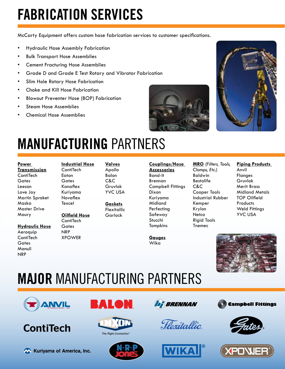### **FABRICATION SERVICES**

McCarty Equipment offers custom hose fabrication services to customer specifications.

- Hydraulic Hose Assembly Fabrication
- Bulk Transport Hose Assemblies
- Cement Fracturing Hose Assemblies
- Grade D and Grade E Test Rotary and Vibrator Fabrication
- Slim Hole Rotary Hose Fabrication
- Choke and Kill Hose Fabrication
- Blowout Preventer Hose (BOP) Fabrication
- Steam Hose Assemblies
- Chemical Hose Assemblies





### **MANUFACTURING** PARTNERS

**Transmission ContiTech Gates** Leeson Love Joy Martin Sproket Maska Master Drive Maury

**Hydraulic Hose** Aeroquip **ContiTech Gates** Manuli **NRP** 

**ContiTech** Eaton **Gates** Kanaflex Kuriyama Novaflex **Texcel Oilfield Hose**

**Industrial Hose**

#### **ContiTech Gates** NRP XPOWER

**Valves** Apollo Balon C&C Gruvlok YVC USA

**Gaskets** Flexitallic Garlock

#### **Couplings/Hose**

**Accessories** Band-It Brennan Campbell Fittings Dixon Kuriyama Midland Perfecting Safeway Stucchi Tompkins

**Gauges** Wika

**MRO** *(Filters, Tools, Clamps, Etc.)* Baldwin Bestolife C&C Cooper Tools Industrial Rubber Kemper Krylon Netco Rigid Tools Tnemec

#### **Piping Products**  Anvil **Flanges** Gruvlok Merit Brass Midland Metals TOP Oilfield **Products** Weld Fittings YVC USA



### **MAJOR** MANUFACTURING PARTNERS



### **ContiTech**







The Right Connection"